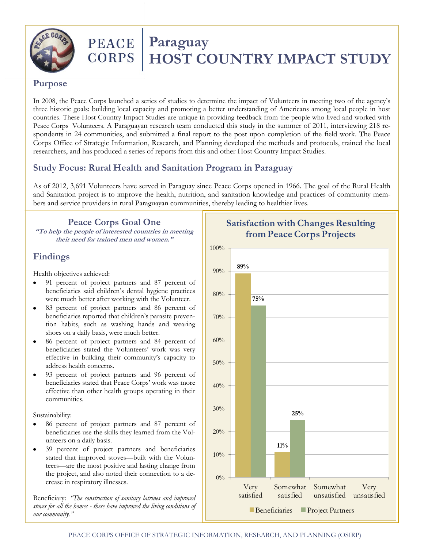

# **PEACE Paraguay**<br>CORPS HOST CO  **HOST COUNTRY IMPACT STUDY**

### **Purpose**

In 2008, the Peace Corps launched a series of studies to determine the impact of Volunteers in meeting two of the agency's three historic goals: building local capacity and promoting a better understanding of Americans among local people in host countries. These Host Country Impact Studies are unique in providing feedback from the people who lived and worked with Peace Corps Volunteers. A Paraguayan research team conducted this study in the summer of 2011, interviewing 218 respondents in 24 communities, and submitted a final report to the post upon completion of the field work. The Peace Corps Office of Strategic Information, Research, and Planning developed the methods and protocols, trained the local researchers, and has produced a series of reports from this and other Host Country Impact Studies.

# **Study Focus: Rural Health and Sanitation Program in Paraguay**

As of 2012, 3,691 Volunteers have served in Paraguay since Peace Corps opened in 1966. The goal of the Rural Health and Sanitation project is to improve the health, nutrition, and sanitation knowledge and practices of community members and service providers in rural Paraguayan communities, thereby leading to healthier lives.

**Peace Corps Goal One "To help the people of interested countries in meeting their need for trained men and women."**

# **Findings**

Health objectives achieved:

- 91 percent of project partners and 87 percent of beneficiaries said children's dental hygiene practices were much better after working with the Volunteer.
- 83 percent of project partners and 86 percent of beneficiaries reported that children's parasite prevention habits, such as washing hands and wearing shoes on a daily basis, were much better.
- 86 percent of project partners and 84 percent of beneficiaries stated the Volunteers' work was very effective in building their community's capacity to address health concerns.
- 93 percent of project partners and 96 percent of beneficiaries stated that Peace Corps' work was more effective than other health groups operating in their communities.

Sustainability:

- 86 percent of project partners and 87 percent of beneficiaries use the skills they learned from the Volunteers on a daily basis.
- 39 percent of project partners and beneficiaries stated that improved stoves—built with the Volunteers—are the most positive and lasting change from the project, and also noted their connection to a decrease in respiratory illnesses.

Beneficiary: *"The construction of sanitary latrines and improved stoves for all the homes - these have improved the living conditions of our community."*



# **Satisfaction with Changes Resulting from Peace Corps Projects**